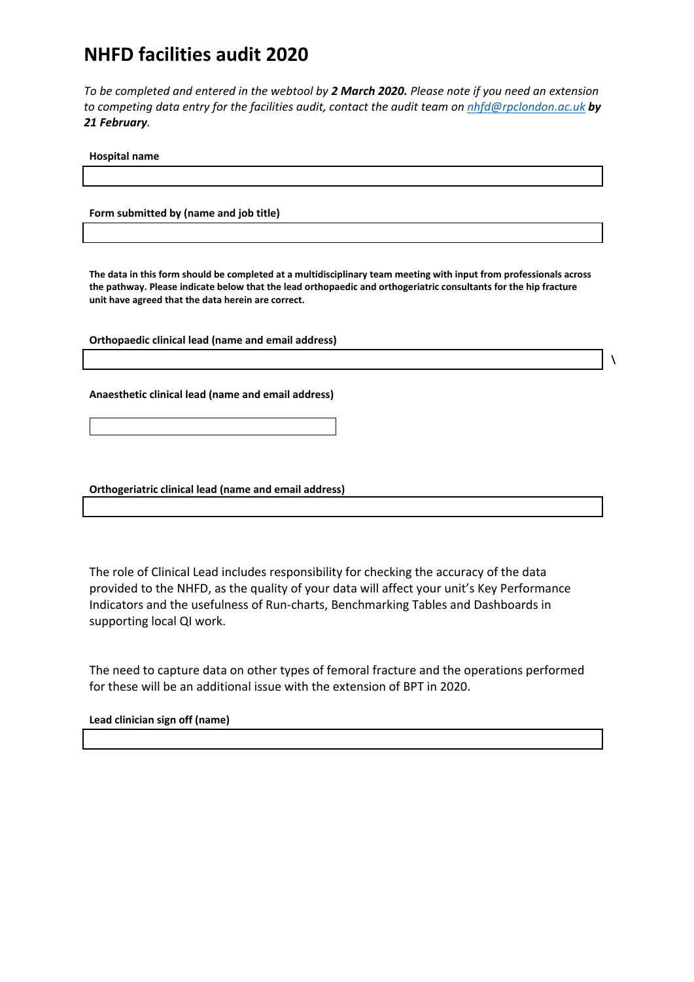# **NHFD facilities audit 2020**

*To be completed and entered in the webtool by 2 March 2020. Please note if you need an extension to competing data entry for the facilities audit, contact the audit team on [nhfd@rpclondon.ac.uk](mailto:nhfd@rpclondon.ac.uk) by 21 February.*

**Hospital name**

**Form submitted by (name and job title)**

**The data in this form should be completed at a multidisciplinary team meeting with input from professionals across the pathway. Please indicate below that the lead orthopaedic and orthogeriatric consultants for the hip fracture unit have agreed that the data herein are correct.**

**\**

**Orthopaedic clinical lead (name and email address)**

**Anaesthetic clinical lead (name and email address)**

**Orthogeriatric clinical lead (name and email address)**

The role of Clinical Lead includes responsibility for checking the accuracy of the data provided to the NHFD, as the quality of your data will affect your unit's Key Performance Indicators and the usefulness of Run-charts, Benchmarking Tables and Dashboards in supporting local QI work.

The need to capture data on other types of femoral fracture and the operations performed for these will be an additional issue with the extension of BPT in 2020.

**Lead clinician sign off (name)**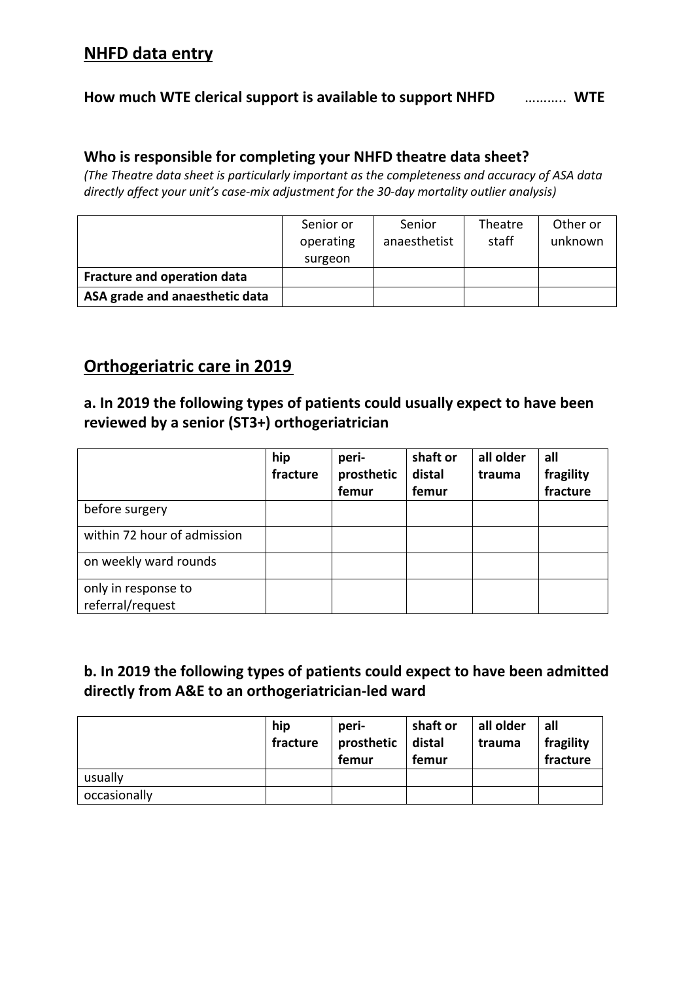# **NHFD data entry**

## **How much WTE clerical support is available to support NHFD** ……….. **WTE**

## **Who is responsible for completing your NHFD theatre data sheet?**

*(The Theatre data sheet is particularly important as the completeness and accuracy of ASA data directly affect your unit's case-mix adjustment for the 30-day mortality outlier analysis)*

|                                    | Senior or<br>operating<br>surgeon | Senior<br>anaesthetist | Theatre<br>staff | Other or<br>unknown |
|------------------------------------|-----------------------------------|------------------------|------------------|---------------------|
| <b>Fracture and operation data</b> |                                   |                        |                  |                     |
| ASA grade and anaesthetic data     |                                   |                        |                  |                     |

# **Orthogeriatric care in 2019**

## **a. In 2019 the following types of patients could usually expect to have been reviewed by a senior (ST3+) orthogeriatrician**

|                                         | hip<br>fracture | peri-<br>prosthetic<br>femur | shaft or<br>distal<br>femur | all older<br>trauma | all<br>fragility<br>fracture |
|-----------------------------------------|-----------------|------------------------------|-----------------------------|---------------------|------------------------------|
| before surgery                          |                 |                              |                             |                     |                              |
| within 72 hour of admission             |                 |                              |                             |                     |                              |
| on weekly ward rounds                   |                 |                              |                             |                     |                              |
| only in response to<br>referral/request |                 |                              |                             |                     |                              |

## **b. In 2019 the following types of patients could expect to have been admitted directly from A&E to an orthogeriatrician-led ward**

|              | hip<br>fracture | peri-<br>prosthetic $ $ distal<br>femur | shaft or<br>femur | all older<br>trauma | all<br>fragility<br>fracture |
|--------------|-----------------|-----------------------------------------|-------------------|---------------------|------------------------------|
| usually      |                 |                                         |                   |                     |                              |
| occasionally |                 |                                         |                   |                     |                              |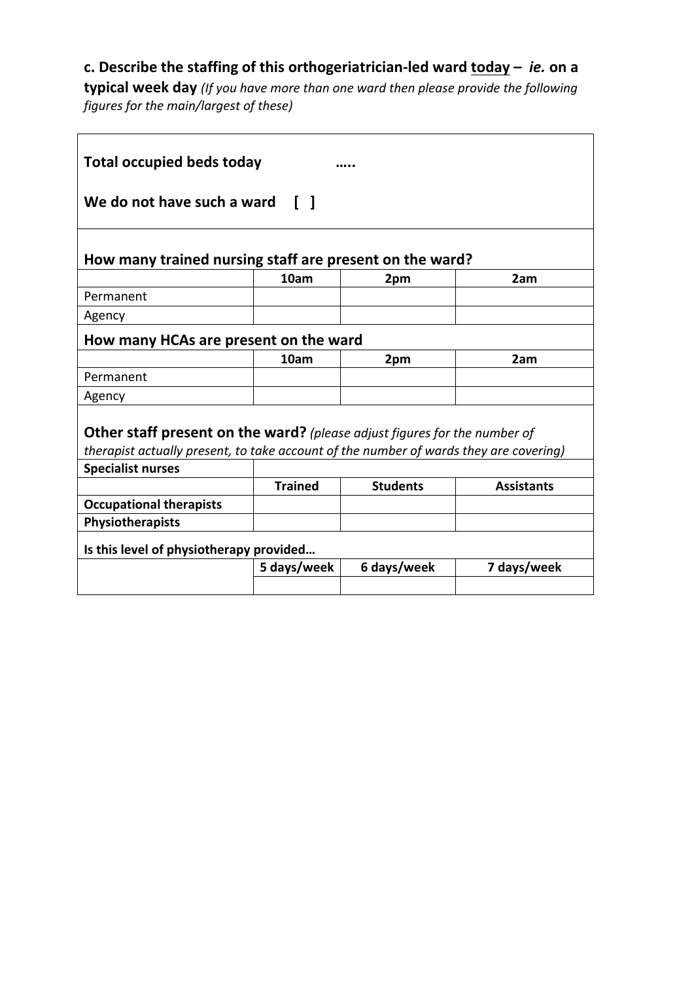# **c. Describe the staffing of this orthogeriatrician-led ward today –** *ie.* **on a**

**typical week day** *(If you have more than one ward then please provide the following figures for the main/largest of these)*

<u> 1989 - Johann Stoff, deutscher Stoffen und der Stoffen und der Stoffen und der Stoffen und der Stoffen und der</u>

 $\overline{\phantom{0}}$ 

| <b>Total occupied beds today</b>                                                                                                                                          |                |                 |                   |  |  |
|---------------------------------------------------------------------------------------------------------------------------------------------------------------------------|----------------|-----------------|-------------------|--|--|
| We do not have such a ward [ ]                                                                                                                                            |                |                 |                   |  |  |
| How many trained nursing staff are present on the ward?                                                                                                                   |                |                 |                   |  |  |
|                                                                                                                                                                           | 10am           | 2pm             | 2am               |  |  |
| Permanent                                                                                                                                                                 |                |                 |                   |  |  |
| Agency                                                                                                                                                                    |                |                 |                   |  |  |
| How many HCAs are present on the ward                                                                                                                                     |                |                 |                   |  |  |
|                                                                                                                                                                           | 10am           | 2pm             | 2am               |  |  |
| Permanent                                                                                                                                                                 |                |                 |                   |  |  |
| Agency                                                                                                                                                                    |                |                 |                   |  |  |
| <b>Other staff present on the ward?</b> (please adjust figures for the number of<br>therapist actually present, to take account of the number of wards they are covering) |                |                 |                   |  |  |
| <b>Specialist nurses</b>                                                                                                                                                  |                |                 |                   |  |  |
|                                                                                                                                                                           | <b>Trained</b> | <b>Students</b> | <b>Assistants</b> |  |  |
| <b>Occupational therapists</b>                                                                                                                                            |                |                 |                   |  |  |
| Physiotherapists                                                                                                                                                          |                |                 |                   |  |  |
| Is this level of physiotherapy provided                                                                                                                                   |                |                 |                   |  |  |
|                                                                                                                                                                           | 5 days/week    | 6 days/week     | 7 days/week       |  |  |
|                                                                                                                                                                           |                |                 |                   |  |  |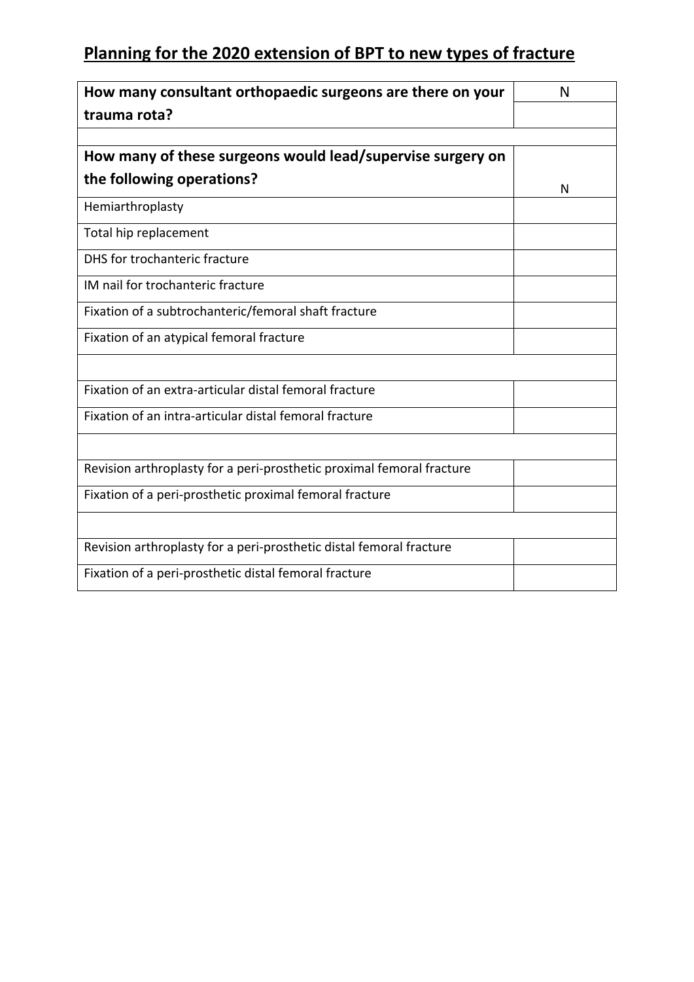# **Planning for the 2020 extension of BPT to new types of fracture**

| How many consultant orthopaedic surgeons are there on your            | N |
|-----------------------------------------------------------------------|---|
| trauma rota?                                                          |   |
|                                                                       |   |
| How many of these surgeons would lead/supervise surgery on            |   |
| the following operations?                                             | N |
| Hemiarthroplasty                                                      |   |
| Total hip replacement                                                 |   |
| DHS for trochanteric fracture                                         |   |
| IM nail for trochanteric fracture                                     |   |
| Fixation of a subtrochanteric/femoral shaft fracture                  |   |
| Fixation of an atypical femoral fracture                              |   |
|                                                                       |   |
| Fixation of an extra-articular distal femoral fracture                |   |
| Fixation of an intra-articular distal femoral fracture                |   |
|                                                                       |   |
| Revision arthroplasty for a peri-prosthetic proximal femoral fracture |   |
| Fixation of a peri-prosthetic proximal femoral fracture               |   |
|                                                                       |   |
| Revision arthroplasty for a peri-prosthetic distal femoral fracture   |   |
| Fixation of a peri-prosthetic distal femoral fracture                 |   |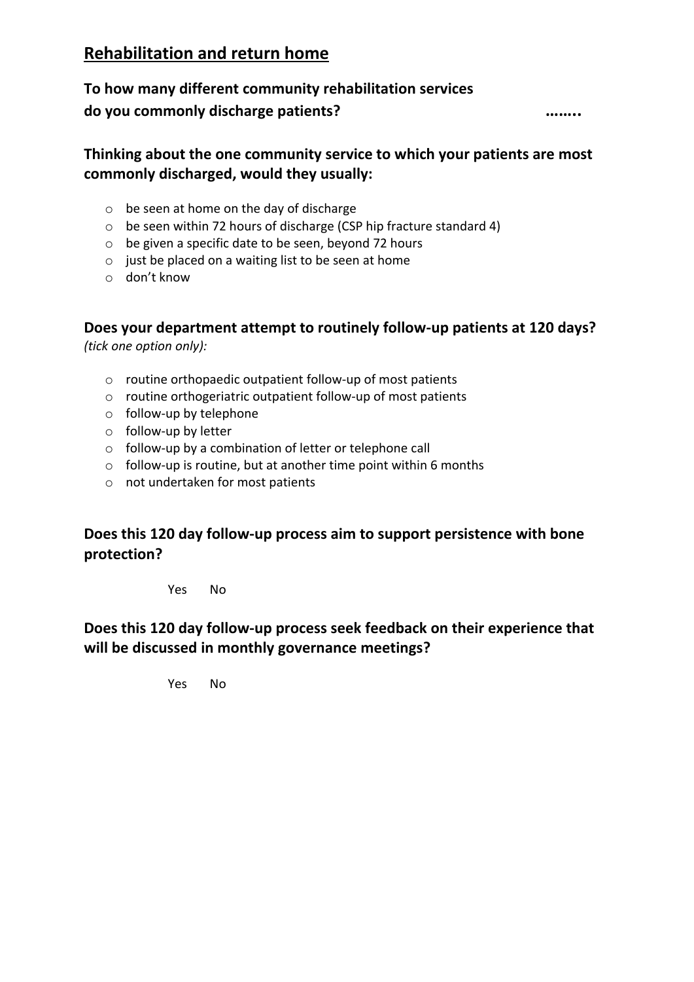# **Rehabilitation and return home**

# **To how many different community rehabilitation services do you commonly discharge patients? ……..**

## **Thinking about the one community service to which your patients are most commonly discharged, would they usually:**

- o be seen at home on the day of discharge
- o be seen within 72 hours of discharge (CSP hip fracture standard 4)
- o be given a specific date to be seen, beyond 72 hours
- o just be placed on a waiting list to be seen at home
- o don't know

## **Does your department attempt to routinely follow-up patients at 120 days?**

*(tick one option only):*

- o routine orthopaedic outpatient follow-up of most patients
- o routine orthogeriatric outpatient follow-up of most patients
- o follow-up by telephone
- o follow-up by letter
- o follow-up by a combination of letter or telephone call
- $\circ$  follow-up is routine, but at another time point within 6 months
- o not undertaken for most patients

## **Does this 120 day follow-up process aim to support persistence with bone protection?**

Yes No

## **Does this 120 day follow-up process seek feedback on their experience that will be discussed in monthly governance meetings?**

Yes No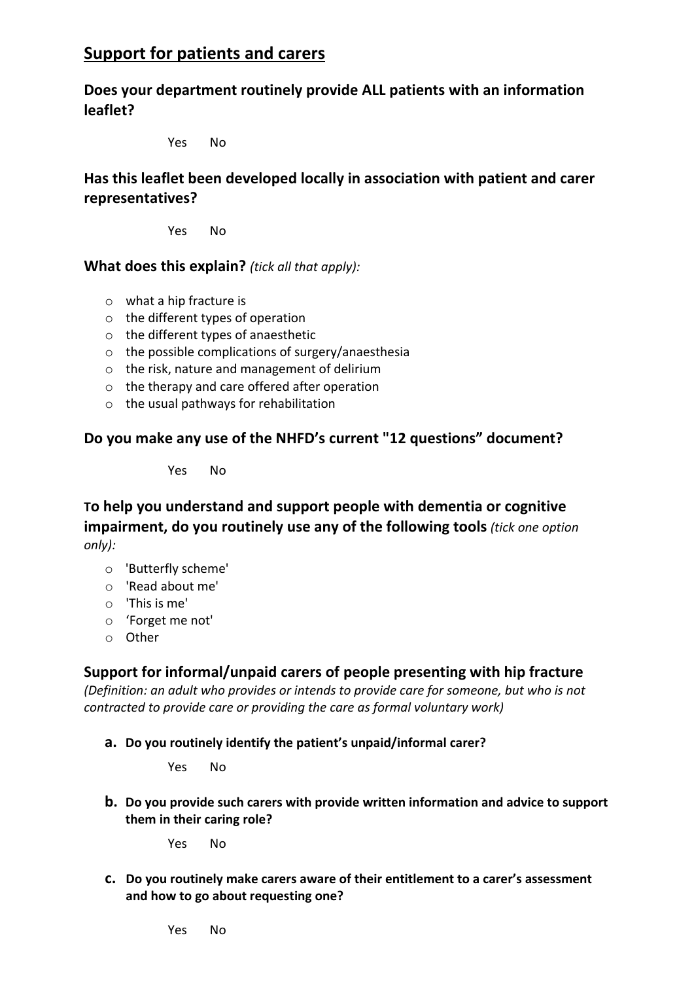# **Support for patients and carers**

**Does your department routinely provide ALL patients with an information leaflet?**

Yes No

**Has this leaflet been developed locally in association with patient and carer representatives?**

Yes No

#### **What does this explain?** *(tick all that apply):*

- o what a hip fracture is
- o the different types of operation
- o the different types of anaesthetic
- o the possible complications of surgery/anaesthesia
- o the risk, nature and management of delirium
- o the therapy and care offered after operation
- o the usual pathways for rehabilitation

#### **Do you make any use of the NHFD's current "12 questions" document?**

Yes No

**To help you understand and support people with dementia or cognitive impairment, do you routinely use any of the following tools** *(tick one option only):*

- o 'Butterfly scheme'
- o 'Read about me'
- o 'This is me'
- o 'Forget me not'
- o Other

#### **Support for informal/unpaid carers of people presenting with hip fracture**

*(Definition: an adult who provides or intends to provide care for someone, but who is not contracted to provide care or providing the care as formal voluntary work)*

**a. Do you routinely identify the patient's unpaid/informal carer?**

Yes No

**b. Do you provide such carers with provide written information and advice to support them in their caring role?**

Yes No

**c. Do you routinely make carers aware of their entitlement to a carer's assessment and how to go about requesting one?**